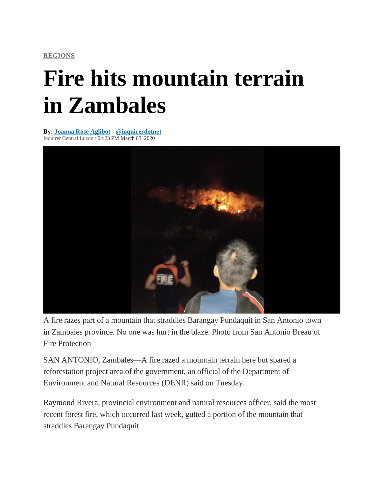**[REGIONS](https://newsinfo.inquirer.net/category/latest-stories/regions-latest-stories)**

## **Fire hits mountain terrain in Zambales**

**By: Joanna Rose [Aglibot](https://newsinfo.inquirer.net/byline/joanna-rose-aglibot) - [@inquirerdotnet](https://www.twitter.com/@inquirerdotnet)** [Inquirer](https://newsinfo.inquirer.net/source/inquirer-central-luzon) Central Luzon / 04:23 PM March 03, 2020



A fire razes part of a mountain that straddles Barangay Pundaquit in San Antonio town in Zambales province. No one was hurt in the blaze. Photo from San Antonio Breau of Fire Protection

SAN ANTONIO, Zambales—A fire razed a mountain terrain here but spared a reforestation project area of the government, an official of the Department of Environment and Natural Resources (DENR) said on Tuesday.

Raymond Rivera, provincial environment and natural resources officer, said the most recent forest fire, which occurred last week, gutted a portion of the mountain that straddles Barangay Pundaquit.